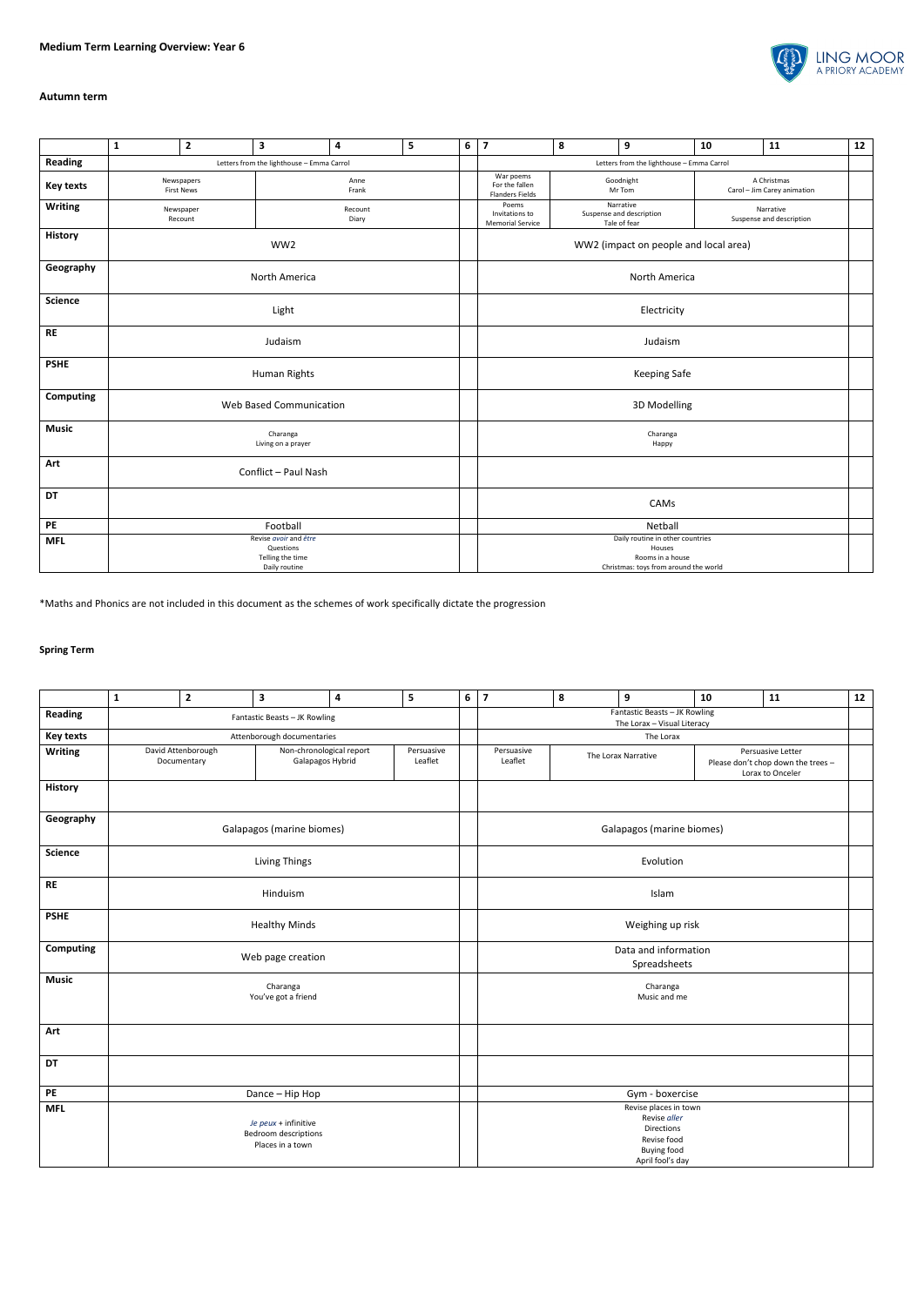

## **Autumn term**

|                  | ${\bf 1}$                                                               | $\overline{2}$                  | 3                | $\overline{\mathbf{4}}$ | 5 | $\bf 6$ | $\overline{\mathbf{z}}$                                                                                 | 8                   | $\mathbf{9}$                                          | 10                                         | 11                                    | 12 |  |  |
|------------------|-------------------------------------------------------------------------|---------------------------------|------------------|-------------------------|---|---------|---------------------------------------------------------------------------------------------------------|---------------------|-------------------------------------------------------|--------------------------------------------|---------------------------------------|----|--|--|
| <b>Reading</b>   | Letters from the lighthouse - Emma Carrol                               |                                 |                  |                         |   |         | Letters from the lighthouse - Emma Carrol                                                               |                     |                                                       |                                            |                                       |    |  |  |
| <b>Key texts</b> |                                                                         | Newspapers<br><b>First News</b> | Anne<br>Frank    |                         |   |         | War poems<br>For the fallen<br><b>Flanders Fields</b>                                                   | Goodnight<br>Mr Tom |                                                       | A Christmas<br>Carol - Jim Carey animation |                                       |    |  |  |
| <b>Writing</b>   |                                                                         | Newspaper<br>Recount            | Recount<br>Diary |                         |   |         | Poems<br>Invitations to<br><b>Memorial Service</b>                                                      |                     | Narrative<br>Suspense and description<br>Tale of fear |                                            | Narrative<br>Suspense and description |    |  |  |
| History          | WW2                                                                     |                                 |                  |                         |   |         | WW2 (impact on people and local area)                                                                   |                     |                                                       |                                            |                                       |    |  |  |
| Geography        |                                                                         |                                 | North America    |                         |   |         | North America                                                                                           |                     |                                                       |                                            |                                       |    |  |  |
| <b>Science</b>   |                                                                         |                                 | Light            |                         |   |         | Electricity                                                                                             |                     |                                                       |                                            |                                       |    |  |  |
| <b>RE</b>        | Judaism                                                                 |                                 |                  |                         |   |         | Judaism                                                                                                 |                     |                                                       |                                            |                                       |    |  |  |
| <b>PSHE</b>      | Human Rights                                                            |                                 |                  |                         |   |         | Keeping Safe                                                                                            |                     |                                                       |                                            |                                       |    |  |  |
| <b>Computing</b> |                                                                         | Web Based Communication         |                  |                         |   |         |                                                                                                         | 3D Modelling        |                                                       |                                            |                                       |    |  |  |
| <b>Music</b>     | Charanga<br>Living on a prayer                                          |                                 |                  |                         |   |         | Charanga<br>Happy                                                                                       |                     |                                                       |                                            |                                       |    |  |  |
| Art              | Conflict - Paul Nash                                                    |                                 |                  |                         |   |         |                                                                                                         |                     |                                                       |                                            |                                       |    |  |  |
| <b>DT</b>        |                                                                         |                                 |                  |                         |   |         |                                                                                                         | CAMs                |                                                       |                                            |                                       |    |  |  |
| PE               |                                                                         | Football                        |                  |                         |   |         |                                                                                                         | Netball             |                                                       |                                            |                                       |    |  |  |
| <b>MFL</b>       | Revise avoir and être<br>Questions<br>Telling the time<br>Daily routine |                                 |                  |                         |   |         | Daily routine in other countries<br>Houses<br>Rooms in a house<br>Christmas: toys from around the world |                     |                                                       |                                            |                                       |    |  |  |

\*Maths and Phonics are not included in this document as the schemes of work specifically dictate the progression

## **Spring Term**

|                  | $\mathbf 1$                                                                                                | $\mathbf{2}$    | 3                             | $\pmb{4}$ | 5 | 6 | $\overline{7}$                                                                                                              | $\pmb{8}$       | $\boldsymbol{9}$ | 10 | ${\bf 11}$ | 12 |  |  |
|------------------|------------------------------------------------------------------------------------------------------------|-----------------|-------------------------------|-----------|---|---|-----------------------------------------------------------------------------------------------------------------------------|-----------------|------------------|----|------------|----|--|--|
| <b>Reading</b>   |                                                                                                            |                 | Fantastic Beasts - JK Rowling |           |   |   | Fantastic Beasts - JK Rowling<br>The Lorax - Visual Literacy                                                                |                 |                  |    |            |    |  |  |
| <b>Key texts</b> |                                                                                                            |                 | Attenborough documentaries    |           |   |   | The Lorax                                                                                                                   |                 |                  |    |            |    |  |  |
| <b>Writing</b>   | David Attenborough<br>Non-chronological report<br>Persuasive<br>Leaflet<br>Galapagos Hybrid<br>Documentary |                 |                               |           |   |   | Persuasive<br>Persuasive Letter<br>The Lorax Narrative<br>Leaflet<br>Please don't chop down the trees -<br>Lorax to Onceler |                 |                  |    |            |    |  |  |
| <b>History</b>   |                                                                                                            |                 |                               |           |   |   |                                                                                                                             |                 |                  |    |            |    |  |  |
| Geography        |                                                                                                            |                 | Galapagos (marine biomes)     |           |   |   | Galapagos (marine biomes)                                                                                                   |                 |                  |    |            |    |  |  |
| <b>Science</b>   | Living Things                                                                                              |                 |                               |           |   |   |                                                                                                                             | Evolution       |                  |    |            |    |  |  |
| <b>RE</b>        | Hinduism                                                                                                   |                 |                               |           |   |   |                                                                                                                             | Islam           |                  |    |            |    |  |  |
| <b>PSHE</b>      | <b>Healthy Minds</b>                                                                                       |                 |                               |           |   |   | Weighing up risk                                                                                                            |                 |                  |    |            |    |  |  |
| Computing        | Web page creation                                                                                          |                 |                               |           |   |   | Data and information<br>Spreadsheets                                                                                        |                 |                  |    |            |    |  |  |
| <b>Music</b>     | Charanga<br>You've got a friend                                                                            |                 |                               |           |   |   | Charanga<br>Music and me                                                                                                    |                 |                  |    |            |    |  |  |
| Art              |                                                                                                            |                 |                               |           |   |   |                                                                                                                             |                 |                  |    |            |    |  |  |
| DT               |                                                                                                            |                 |                               |           |   |   |                                                                                                                             |                 |                  |    |            |    |  |  |
| $\mathsf{PE}$    |                                                                                                            | Dance - Hip Hop |                               |           |   |   |                                                                                                                             | Gym - boxercise |                  |    |            |    |  |  |
| <b>MFL</b>       | Je peux + infinitive<br><b>Bedroom descriptions</b><br>Places in a town                                    |                 |                               |           |   |   | Revise places in town<br>Revise aller<br>Directions<br>Revise food<br><b>Buying food</b><br>April fool's day                |                 |                  |    |            |    |  |  |